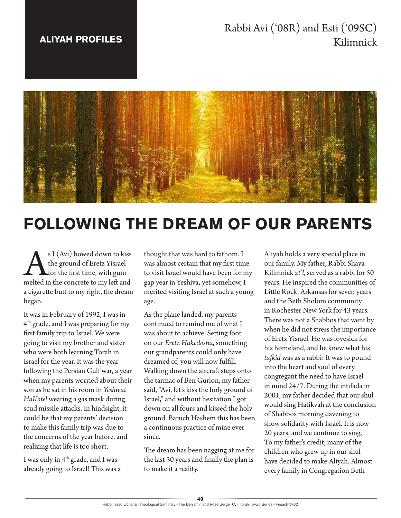## **ALIYAH PROFILES**

## Rabbi Avi ('08R) and Esti ('09SC) Kilimnick



# **FOLLOWING THE DREAM OF OUR PARENTS**

SI (Avi) bowed down to kiss<br>the ground of Eretz Yisrael<br>for the first time, with gum<br>melted in the concrete to my left and the ground of Eretz Yisrael for the first time, with gum a cigarette butt to my right, the dream began.

It was in February of 1992, I was in 4<sup>th</sup> grade, and I was preparing for my first family trip to Israel. We were going to visit my brother and sister who were both learning Torah in Israel for the year. It was the year following the Persian Gulf war, a year when my parents worried about their son as he sat in his room in *Yeshivat HaKotel* wearing a gas mask during scud missile attacks. In hindsight, it could be that my parents' decision to make this family trip was due to the concerns of the year before, and realizing that life is too short.

I was only in 4th grade, and I was already going to Israel! This was a

thought that was hard to fathom. I was almost certain that my first time to visit Israel would have been for my gap year in Yeshiva, yet somehow, I merited visiting Israel at such a young age.

As the plane landed, my parents continued to remind me of what I was about to achieve. Setting foot on our *Eretz Hakedosha*, something our grandparents could only have dreamed of, you will now fulfill. Walking down the aircraft steps onto the tarmac of Ben Gurion, my father said, "Avi, let's kiss the holy ground of Israel," and without hesitation I got down on all fours and kissed the holy ground. Baruch Hashem this has been a continuous practice of mine ever since.

The dream has been nagging at me for the last 30 years and finally the plan is to make it a reality.

Aliyah holds a very special place in our family. My father, Rabbi Shaya Kilimnick *zt'l*, served as a rabbi for 50 years. He inspired the communities of Little Rock, Arkansas for seven years and the Beth Sholom community in Rochester New York for 43 years. There was not a Shabbos that went by when he did not stress the importance of Eretz Yisrael. He was lovesick for his homeland, and he knew what his *tafkid* was as a rabbi: It was to pound into the heart and soul of every congregant the need to have Israel in mind 24/7. During the intifada in 2001, my father decided that our shul would sing Hatikvah at the conclusion of Shabbos morning davening to show solidarity with Israel. It is now 20 years, and we continue to sing. To my father's credit, many of the children who grew up in our shul have decided to make Aliyah. Almost every family in Congregation Beth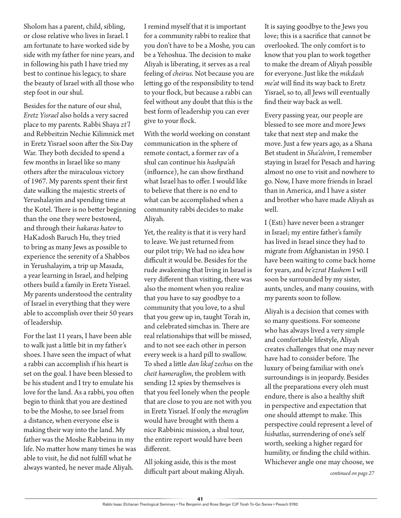Sholom has a parent, child, sibling, or close relative who lives in Israel. I am fortunate to have worked side by side with my father for nine years, and in following his path I have tried my best to continue his legacy, to share the beauty of Israel with all those who step foot in our shul.

Besides for the nature of our shul, *Eretz Yisrael* also holds a very sacred place to my parents. Rabbi Shaya *zt'l* and Rebbeitzin Nechie Kilimnick met in Eretz Yisrael soon after the Six-Day War. They both decided to spend a few months in Israel like so many others after the miraculous victory of 1967. My parents spent their first date walking the majestic streets of Yerushalayim and spending time at the Kotel. There is no better beginning than the one they were bestowed, and through their *hakaras hatov* to HaKadosh Baruch Hu, they tried to bring as many Jews as possible to experience the serenity of a Shabbos in Yerushalayim*,* a trip up Masada, a year learning in Israel, and helping others build a family in Eretz Yisrael. My parents understood the centrality of Israel in everything that they were able to accomplish over their 50 years of leadership.

For the last 11 years, I have been able to walk just a little bit in my father's shoes. I have seen the impact of what a rabbi can accomplish if his heart is set on the goal. I have been blessed to be his student and I try to emulate his love for the land. As a rabbi, you often begin to think that you are destined to be the Moshe, to see Israel from a distance, when everyone else is making their way into the land. My father was the Moshe Rabbeinu in my life. No matter how many times he was able to visit, he did not fulfill what he always wanted, he never made Aliyah.

I remind myself that it is important for a community rabbi to realize that you don't have to be a Moshe*,* you can be a Yehoshua. The decision to make Aliyah is liberating, it serves as a real feeling of *cheirus.* Not because you are letting go of the responsibility to tend to your flock, but because a rabbi can feel without any doubt that this is the best form of leadership you can ever give to your flock.

With the world working on constant communication in the sphere of remote contact, a former rav of a shul can continue his *hashpa'ah* (influence), he can show firsthand what Israel has to offer. I would like to believe that there is no end to what can be accomplished when a community rabbi decides to make Aliyah.

Yet, the reality is that it is very hard to leave. We just returned from our pilot trip; We had no idea how difficult it would be. Besides for the rude awakening that living in Israel is very different than visiting, there was also the moment when you realize that you have to say goodbye to a community that you love, to a shul that you grew up in, taught Torah in, and celebrated simchas in. There are real relationships that will be missed, and to not see each other in person every week is a hard pill to swallow. To shed a little *dan likaf zechus* on the *cheit hameraglim*, the problem with sending 12 spies by themselves is that you feel lonely when the people that are close to you are not with you in Eretz Yisrael. If only the *meraglim* would have brought with them a nice Rabbinic mission, a shul tour, the entire report would have been different.

All joking aside, this is the most difficult part about making Aliyah. It is saying goodbye to the Jews you love; this is a sacrifice that cannot be overlooked. The only comfort is to know that you plan to work together to make the dream of Aliyah possible for everyone. Just like the *mikdash me'at* will find its way back to Eretz Yisrael, so to, all Jews will eventually find their way back as well.

Every passing year, our people are blessed to see more and more Jews take that next step and make the move. Just a few years ago, as a Shana Bet student in *Sha'alvim*, I remember staying in Israel for Pesach and having almost no one to visit and nowhere to go. Now, I have more friends in Israel than in America, and I have a sister and brother who have made Aliyah as well.

I (Esti) have never been a stranger in Israel; my entire father's family has lived in Israel since they had to migrate from Afghanistan in 1950. I have been waiting to come back home for years, and *be'ezrat Hashem* I will soon be surrounded by my sister, aunts, uncles, and many cousins, with my parents soon to follow.

Aliyah is a decision that comes with so many questions. For someone who has always lived a very simple and comfortable lifestyle, Aliyah creates challenges that one may never have had to consider before. The luxury of being familiar with one's surroundings is in jeopardy. Besides all the preparations every oleh must endure, there is also a healthy shift in perspective and expectation that one should attempt to make. This perspective could represent a level of *hisbatlus*, surrendering of one's self worth, seeking a higher regard for humility, or finding the child within. Whichever angle one may choose, we

*continued on page 27*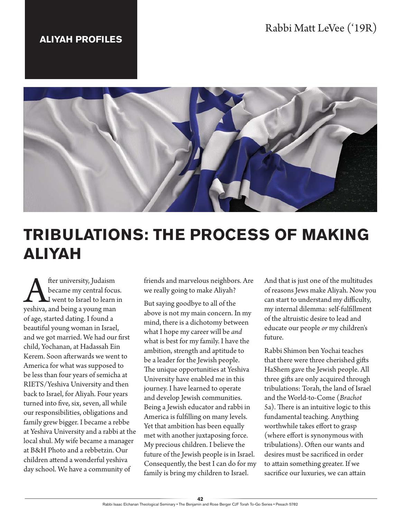### **ALIYAH PROFILES**



# **TRIBULATIONS: THE PROCESS OF MAKING ALIYAH**

**A** fter university, Judaism<br>became my central focu<br>yeshiva, and being a young man became my central focus. I went to Israel to learn in of age, started dating. I found a beautiful young woman in Israel, and we got married. We had our first child, Yochanan, at Hadassah Ein Kerem. Soon afterwards we went to America for what was supposed to be less than four years of semicha at RIETS/Yeshiva University and then back to Israel, for Aliyah. Four years turned into five, six, seven, all while our responsibilities, obligations and family grew bigger. I became a rebbe at Yeshiva University and a rabbi at the local shul. My wife became a manager at B&H Photo and a rebbetzin. Our children attend a wonderful yeshiva day school. We have a community of

friends and marvelous neighbors. Are we really going to make Aliyah?

But saying goodbye to all of the above is not my main concern. In my mind, there is a dichotomy between what I hope my career will be *and* what is best for my family. I have the ambition, strength and aptitude to be a leader for the Jewish people. The unique opportunities at Yeshiva University have enabled me in this journey. I have learned to operate and develop Jewish communities. Being a Jewish educator and rabbi in America is fulfilling on many levels. Yet that ambition has been equally met with another juxtaposing force. My precious children. I believe the future of the Jewish people is in Israel. Consequently, the best I can do for my family is bring my children to Israel.

And that is just one of the multitudes of reasons Jews make Aliyah. Now you can start to understand my difficulty, my internal dilemma: self-fulfillment of the altruistic desire to lead and educate our people *or* my children's future.

Rabbi Shimon ben Yochai teaches that there were three cherished gifts HaShem gave the Jewish people. All three gifts are only acquired through tribulations: Torah, the land of Israel and the World-to-Come (*Brachot* 5a). There is an intuitive logic to this fundamental teaching. Anything worthwhile takes effort to grasp (where effort is synonymous with tribulations). Often our wants and desires must be sacrificed in order to attain something greater. If we sacrifice our luxuries, we can attain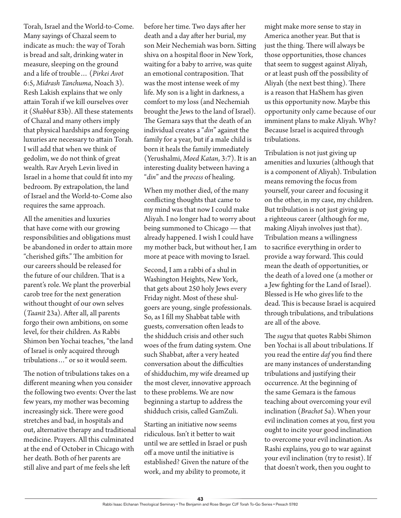Torah, Israel and the World-to-Come. Many sayings of Chazal seem to indicate as much: the way of Torah is bread and salt, drinking water in measure, sleeping on the ground and a life of trouble… (*Pirkei Avot* 6:5, *Midrash Tanchuma*, Noach 3). Resh Lakish explains that we only attain Torah if we kill ourselves over it (*Shabbat* 83b). All these statements of Chazal and many others imply that physical hardships and forgoing luxuries are necessary to attain Torah. I will add that when we think of gedolim, we do not think of great wealth. Rav Aryeh Levin lived in Israel in a home that could fit into my bedroom. By extrapolation, the land of Israel and the World-to-Come also requires the same approach.

All the amenities and luxuries that have come with our growing responsibilities and obligations must be abandoned in order to attain more "cherished gifts." The ambition for our careers should be released for the future of our children. That is a parent's role. We plant the proverbial carob tree for the next generation without thought of our own selves (*Taanit* 23a). After all, all parents forgo their own ambitions, on some level, for their children. As Rabbi Shimon ben Yochai teaches, "the land of Israel is only acquired through tribulations…" or so it would seem.

The notion of tribulations takes on a different meaning when you consider the following two events: Over the last few years, my mother was becoming increasingly sick. There were good stretches and bad, in hospitals and out, alternative therapy and traditional medicine. Prayers. All this culminated at the end of October in Chicago with her death. Both of her parents are still alive and part of me feels she left

before her time. Two days after her death and a day after her burial, my son Meir Nechemiah was born. Sitting shiva on a hospital floor in New York, waiting for a baby to arrive, was quite an emotional contraposition. That was the most intense week of my life. My son is a light in darkness, a comfort to my loss (and Nechemiah brought the Jews to the land of Israel). The Gemara says that the death of an individual creates a "*din*" against the family for a year, but if a male child is born it heals the family immediately (Yerushalmi, *Moed Katan*, 3:7). It is an interesting duality between having a "*din*" and the *process* of healing.

When my mother died, of the many conflicting thoughts that came to my mind was that now I could make Aliyah. I no longer had to worry about being summoned to Chicago — that already happened. I wish I could have my mother back, but without her, I am more at peace with moving to Israel.

Second, I am a rabbi of a shul in Washington Heights, New York, that gets about 250 holy Jews every Friday night. Most of these shulgoers are young, single professionals. So, as I fill my Shabbat table with guests, conversation often leads to the shidduch crisis and other such woes of the frum dating system. One such Shabbat, after a very heated conversation about the difficulties of shidduchim, my wife dreamed up the most clever, innovative approach to these problems. We are now beginning a startup to address the shidduch crisis, called GamZuli.

Starting an initiative now seems ridiculous. Isn't it better to wait until we are settled in Israel or push off a move until the initiative is established? Given the nature of the work, and my ability to promote, it

might make more sense to stay in America another year. But that is just the thing. There will always be those opportunities, those chances that seem to suggest against Aliyah, or at least push off the possibility of Aliyah (the next best thing). There is a reason that HaShem has given us this opportunity now. Maybe this opportunity only came because of our imminent plans to make Aliyah. Why? Because Israel is acquired through tribulations.

Tribulation is not just giving up amenities and luxuries (although that is a component of Aliyah). Tribulation means removing the focus from yourself, your career and focusing it on the other, in my case, my children. But tribulation is not just giving up a righteous career (although for me, making Aliyah involves just that). Tribulation means a willingness to sacrifice everything in order to provide a way forward. This could mean the death of opportunities, or the death of a loved one (a mother or a Jew fighting for the Land of Israel). Blessed is He who gives life to the dead. This is because Israel is acquired through tribulations, and tribulations are all of the above.

The *sugya* that quotes Rabbi Shimon ben Yochai is all about tribulations. If you read the entire *daf* you find there are many instances of understanding tribulations and justifying their occurrence. At the beginning of the same Gemara is the famous teaching about overcoming your evil inclination (*Brachot* 5a). When your evil inclination comes at you, first you ought to incite your good inclination to overcome your evil inclination. As Rashi explains, you go to war against your evil inclination (try to resist). If that doesn't work, then you ought to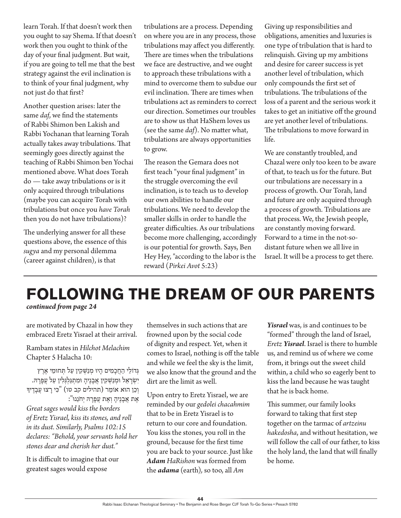learn Torah. If that doesn't work then you ought to say Shema. If that doesn't work then you ought to think of the day of your final judgment. But wait, if you are going to tell me that the best strategy against the evil inclination is to think of your final judgment, why not just do that first?

Another question arises: later the same *daf*, we find the statements of Rabbi Shimon ben Lakish and Rabbi Yochanan that learning Torah actually takes away tribulations. That seemingly goes directly against the teaching of Rabbi Shimon ben Yochai mentioned above. What does Torah do — take away tribulations or is it only acquired through tribulations (maybe you can acquire Torah with tribulations but once you *have Torah* then you do not have tribulations)?

The underlying answer for all these questions above, the essence of this *sugya* and my personal dilemma (career against children), is that

tribulations are a process. Depending on where you are in any process, those tribulations may affect you differently. There are times when the tribulations we face are destructive, and we ought to approach these tribulations with a mind to overcome them to subdue our evil inclination. There are times when tribulations act as reminders to correct our direction. Sometimes our troubles are to show us that HaShem loves us (see the same *daf*). No matter what, tribulations are always opportunities to grow.

The reason the Gemara does not first teach "your final judgment" in the struggle overcoming the evil inclination, is to teach us to develop our own abilities to handle our tribulations. We need to develop the smaller skills in order to handle the greater difficulties. As our tribulations become more challenging, accordingly is our potential for growth. Says, Ben Hey Hey, "according to the labor is the reward (*Pirkei Avot* 5:23)

Giving up responsibilities and obligations, amenities and luxuries is one type of tribulation that is hard to relinquish. Giving up my ambitions and desire for career success is yet another level of tribulation, which only compounds the first set of tribulations. The tribulations of the loss of a parent and the serious work it takes to get an initiative off the ground are yet another level of tribulations. The tribulations to move forward in life.

We are constantly troubled, and Chazal were only too keen to be aware of that, to teach us for the future. But our tribulations are necessary in a process of growth. Our Torah, land and future are only acquired through a process of growth. Tribulations are that process. We, the Jewish people, are constantly moving forward. Forward to a time in the not-sodistant future when we all live in Israel. It will be a process to get there.

# **FOLLOWING THE DREAM OF OUR PARENTS**

*continued from page 24*

are motivated by Chazal in how they embraced Eretz Yisrael at their arrival.

Rambam states in *Hilchot Melachim*  Chapter 5 Halacha 10:

ּגְ דֹולֵ י הַ חֲ כָ מִ ים הָ יּו מְ נַּׁש ְ קִ ין עַ ל ּתְ חּומֵ י אֶ רֶ ץ יִשְׂרַאֵל וּמִנַּשְׁקִין אַבְנֵיה וּמִתְגַּלְגִּלִין עַל עֲפַרַהּ. וְכֵן הוּא אוֹמֵר (תהילים קב טו) "כִּי רָצוּ עֲבָדֵיךָ אֶ ת אֲ בָ נֶיהָ וְ אֶ ת עֲ פָ רָ ּה יְחֹנֵנּו":

*Great sages would kiss the borders of Eretz Yisrael, kiss its stones, and roll in its dust. Similarly, Psalms 102:15 declares: "Behold, your servants hold her stones dear and cherish her dust."*

It is difficult to imagine that our greatest sages would expose

themselves in such actions that are frowned upon by the social code of dignity and respect. Yet, when it comes to Israel, nothing is off the table and while we feel the sky is the limit, we also know that the ground and the dirt are the limit as well.

Upon entry to Eretz Yisrael, we are reminded by our *gedolei chacahmim* that to be in Eretz Yisrael is to return to our core and foundation. You kiss the stones, you roll in the ground, because for the first time you are back to your source. Just like *Adam HaRishon* was formed from the *adama* (earth)*,* so too, all *Am* 

*Yisrael* was, is and continues to be "formed" through the land of Israel, *Eretz Yisrael*. Israel is there to humble us, and remind us of where we come from, it brings out the sweet child within, a child who so eagerly bent to kiss the land because he was taught that he is back home.

This summer, our family looks forward to taking that first step together on the tarmac of *artzeinu hakedosha*, and without hesitation, we will follow the call of our father, to kiss the holy land, the land that will finally be home.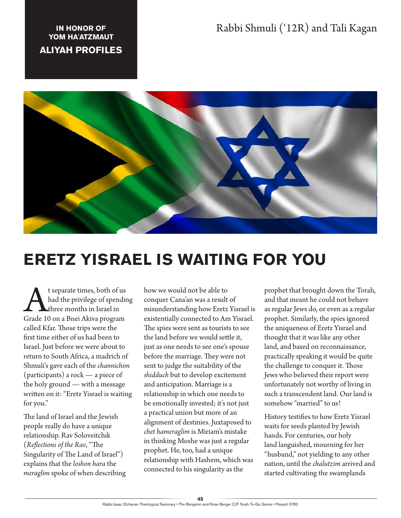## Rabbi Shmuli ('12R) and Tali Kagan

#### **IN HONOR OF YOM HA'ATZMAUT**

### **ALIYAH PROFILES**



# **ERETZ YISRAEL IS WAITING FOR YOU**

t separate times, both of us<br>had the privilege of spendir<br>Grade 10 on a Bnei Akiva program had the privilege of spending three months in Israel in called Kfar. Those trips were the first time either of us had been to Israel. Just before we were about to return to South Africa, a madrich of Shmuli's gave each of the *channichim* (participants) a rock — a piece of the holy ground — with a message written on it: "Eretz Yisrael is waiting for you."

The land of Israel and the Jewish people really do have a unique relationship. Rav Soloveitchik (*Reflections of the Rav*, "The Singularity of The Land of Israel") explains that the *loshon hara* the *meraglim* spoke of when describing how we would not be able to conquer Cana'an was a result of misunderstanding how Eretz Yisrael is existentially connected to Am Yisrael. The spies were sent as tourists to see the land before we would settle it, just as one needs to see one's spouse before the marriage. They were not sent to judge the suitability of the *shidduch* but to develop excitement and anticipation. Marriage is a relationship in which one needs to be emotionally invested; it's not just a practical union but more of an alignment of destinies. Juxtaposed to *chet hameraglim* is Miriam's mistake in thinking Moshe was just a regular prophet. He, too, had a unique relationship with Hashem, which was connected to his singularity as the

prophet that brought down the Torah, and that meant he could not behave as regular Jews do, or even as a regular prophet. Similarly, the spies ignored the uniqueness of Eretz Yisrael and thought that it was like any other land, and based on reconnaissance, practically speaking it would be quite the challenge to conquer it. Those Jews who believed their report were unfortunately not worthy of living in such a transcendent land. Our land is somehow "married" to us!

History testifies to how Eretz Yisrael waits for seeds planted by Jewish hands. For centuries, our holy land languished, mourning for her "husband," not yielding to any other nation, until the *chalutzim* arrived and started cultivating the swamplands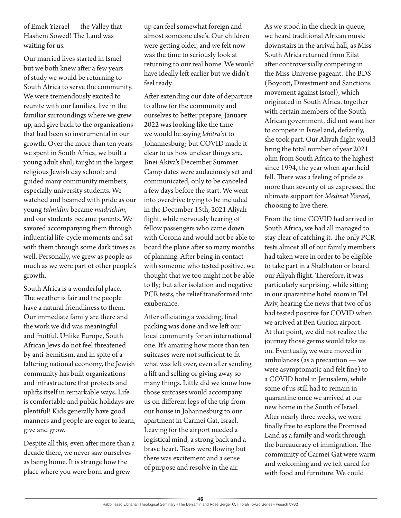of Emek Yizrael — the Valley that Hashem Sowed! The Land was waiting for us.

Our married lives started in Israel but we both knew after a few years of study we would be returning to South Africa to serve the community. We were tremendously excited to reunite with our families, live in the familiar surroundings where we grew up, and give back to the organizations that had been so instrumental in our growth. Over the more than ten years we spent in South Africa, we built a young adult shul; taught in the largest religious Jewish day school; and guided many community members, especially university students. We watched and beamed with pride as our young *talmidim* became *madrichim,*  and our students became parents*.* We savored accompanying them through influential life-cycle moments and sat with them through some dark times as well. Personally, we grew as people as much as we were part of other people's growth.

South Africa is a wonderful place. The weather is fair and the people have a natural friendliness to them. Our immediate family are there and the work we did was meaningful and fruitful. Unlike Europe, South African Jews do not feel threatened by anti-Semitism, and in spite of a faltering national economy, the Jewish community has built organizations and infrastructure that protects and uplifts itself in remarkable ways. Life is comfortable and public holidays are plentiful! Kids generally have good manners and people are eager to learn, give and grow.

Despite all this, even after more than a decade there, we never saw ourselves as being home. It is strange how the place where you were born and grew

up can feel somewhat foreign and almost someone else's. Our children were getting older, and we felt now was the time to seriously look at returning to our real home. We would have ideally left earlier but we didn't feel ready.

After extending our date of departure to allow for the community and ourselves to better prepare, January 2022 was looking like the time we would be saying *lehitra'ot* to Johannesburg; but COVID made it clear to us how unclear things are. Bnei Akiva's December Summer Camp dates were audaciously set and communicated, only to be canceled a few days before the start. We went into overdrive trying to be included in the December 15th, 2021 Aliyah flight, while nervously hearing of fellow passengers who came down with Corona and would not be able to board the plane after so many months of planning. After being in contact with someone who tested positive, we thought that we too might not be able to fly; but after isolation and negative PCR tests, the relief transformed into exuberance.

After officiating a wedding, final packing was done and we left our local community for an international one. It's amazing how more than ten suitcases were not sufficient to fit what was left over, even after sending a lift and selling or giving away so many things. Little did we know how those suitcases would accompany us on different legs of the trip from our house in Johannesburg to our apartment in Carmei Gat, Israel. Leaving for the airport needed a logistical mind, a strong back and a brave heart. Tears were flowing but there was excitement and a sense of purpose and resolve in the air.

As we stood in the check-in queue, we heard traditional African music downstairs in the arrival hall, as Miss South Africa returned from Eilat after controversially competing in the Miss Universe pageant. The BDS (Boycott, Divestment and Sanctions movement against Israel), which originated in South Africa, together with certain members of the South African government, did not want her to compete in Israel and, defiantly, she took part. Our Aliyah flight would bring the total number of year 2021 olim from South Africa to the highest since 1994, the year when apartheid fell. There was a feeling of pride as more than seventy of us expressed the ultimate support for *Medinat Yisrael*, choosing to live there.

From the time COVID had arrived in South Africa, we had all managed to stay clear of catching it. The only PCR tests almost all of our family members had taken were in order to be eligible to take part in a Shabbaton or board our Aliyah flight. Therefore, it was particularly surprising, while sitting in our quarantine hotel room in Tel Aviv, hearing the news that two of us had tested positive for COVID when we arrived at Ben Gurion airport. At that point, we did not realize the journey those germs would take us on. Eventually, we were moved in ambulances (as a precaution — we were asymptomatic and felt fine) to a COVID hotel in Jerusalem, while some of us still had to remain in quarantine once we arrived at our new home in the South of Israel. After nearly three weeks, we were finally free to explore the Promised Land as a family and work through the bureaucracy of immigration. The community of Carmei Gat were warm and welcoming and we felt cared for with food and furniture. We could